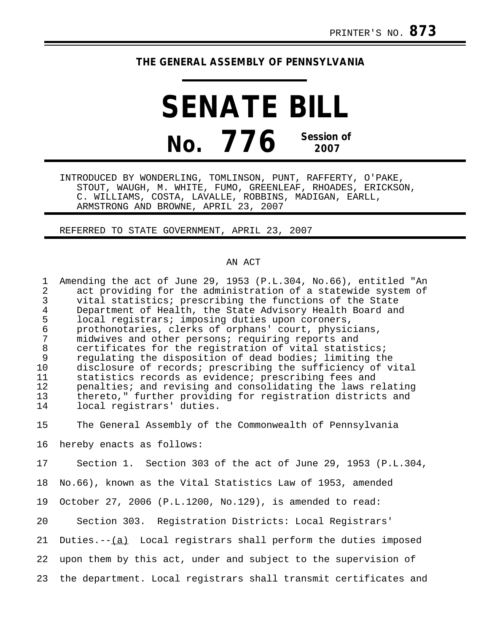## **THE GENERAL ASSEMBLY OF PENNSYLVANIA**

**SENATE BILL No. 776 Session of 2007**

INTRODUCED BY WONDERLING, TOMLINSON, PUNT, RAFFERTY, O'PAKE, STOUT, WAUGH, M. WHITE, FUMO, GREENLEAF, RHOADES, ERICKSON, C. WILLIAMS, COSTA, LAVALLE, ROBBINS, MADIGAN, EARLL, ARMSTRONG AND BROWNE, APRIL 23, 2007

## REFERRED TO STATE GOVERNMENT, APRIL 23, 2007

## AN ACT

1 Amending the act of June 29, 1953 (P.L.304, No.66), entitled "An<br>2 act providing for the administration of a statewide system of 2 act providing for the administration of a statewide system of<br>3 yital statistics; prescribing the functions of the State vital statistics; prescribing the functions of the State 4 Department of Health, the State Advisory Health Board and<br>5 local registrars; imposing duties upon coroners, 5 local registrars; imposing duties upon coroners, 6 prothonotaries, clerks of orphans' court, physicians, 7 midwives and other persons; requiring reports and 8 certificates for the registration of vital statistics;<br>9 regulating the disposition of dead bodies; limiting the 9 regulating the disposition of dead bodies; limiting the<br>10 disclosure of records; prescribing the sufficiency of v 10 disclosure of records; prescribing the sufficiency of vital<br>11 statistics records as evidence; prescribing fees and 11 statistics records as evidence; prescribing fees and<br>12 penalties; and revising and consolidating the laws re 12 penalties; and revising and consolidating the laws relating<br>13 thereto," further providing for registration districts and 13 thereto," further providing for registration districts and<br>14 local registrars' duties. local registrars' duties.

15 The General Assembly of the Commonwealth of Pennsylvania

16 hereby enacts as follows:

17 Section 1. Section 303 of the act of June 29, 1953 (P.L.304,

18 No.66), known as the Vital Statistics Law of 1953, amended

19 October 27, 2006 (P.L.1200, No.129), is amended to read:

20 Section 303. Registration Districts: Local Registrars'

21 Duties. $-(-1)^2$  Local registrars shall perform the duties imposed

22 upon them by this act, under and subject to the supervision of

23 the department. Local registrars shall transmit certificates and